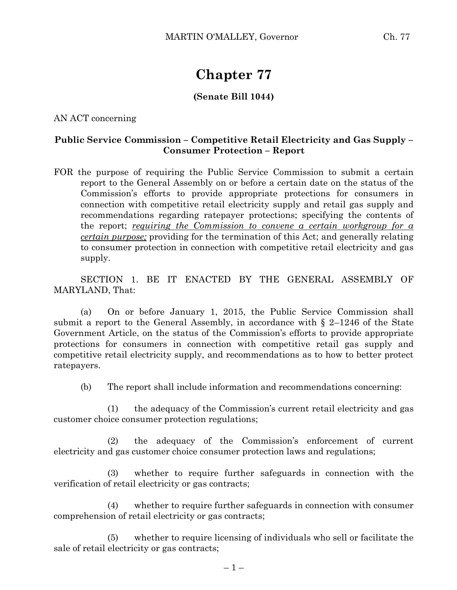## **Chapter 77**

## **(Senate Bill 1044)**

AN ACT concerning

## **Public Service Commission – Competitive Retail Electricity and Gas Supply – Consumer Protection – Report**

FOR the purpose of requiring the Public Service Commission to submit a certain report to the General Assembly on or before a certain date on the status of the Commission's efforts to provide appropriate protections for consumers in connection with competitive retail electricity supply and retail gas supply and recommendations regarding ratepayer protections; specifying the contents of the report; *requiring the Commission to convene a certain workgroup for a certain purpose;* providing for the termination of this Act; and generally relating to consumer protection in connection with competitive retail electricity and gas supply.

SECTION 1. BE IT ENACTED BY THE GENERAL ASSEMBLY OF MARYLAND, That:

(a) On or before January 1, 2015, the Public Service Commission shall submit a report to the General Assembly, in accordance with  $\S$  2–1246 of the State Government Article, on the status of the Commission's efforts to provide appropriate protections for consumers in connection with competitive retail gas supply and competitive retail electricity supply, and recommendations as to how to better protect ratepayers.

(b) The report shall include information and recommendations concerning:

(1) the adequacy of the Commission's current retail electricity and gas customer choice consumer protection regulations;

(2) the adequacy of the Commission's enforcement of current electricity and gas customer choice consumer protection laws and regulations;

(3) whether to require further safeguards in connection with the verification of retail electricity or gas contracts;

(4) whether to require further safeguards in connection with consumer comprehension of retail electricity or gas contracts;

(5) whether to require licensing of individuals who sell or facilitate the sale of retail electricity or gas contracts;